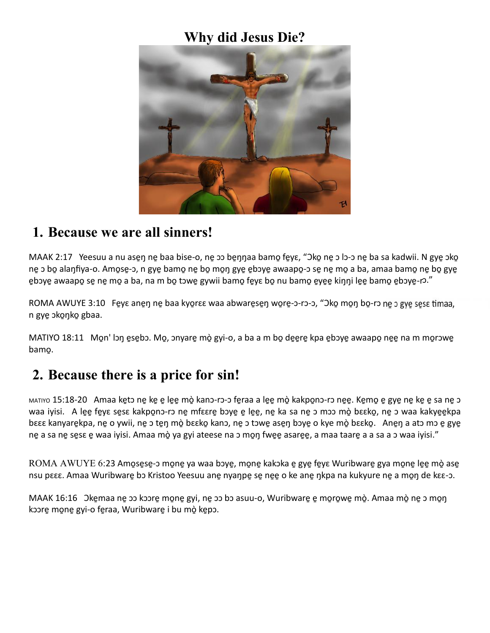### **Why did Jesus Die?**



#### **1. Because we are all sinners!**

MAAK 2:17 Yeesuu a nu ase̯ŋ ne̯ baa bise-o, ne̯ ɔɔ be̯ŋŋaa bamo̯ fe̯yɛ, "Əko̯ ne̯ ɔ lɔ-ɔ ne̯ ba sa kadwii. N gye̯ ɔko̯ ne ɔ bo̯ alaŋfiya-o. Amo̯se-ɔ, n gye̯ bamo̯ ne̯ bo̯ mo̯ŋ gye̯ e̯bɔyẹ awaapo̯-ɔ se̯ ne̯ mo̯ a ba, amaa bamo̯ ne̯ bo̯ gye ebɔye awaapo se ne mo a ba, na m bo tɔwe̯ gywii bamo̯ fe̯yɛ bo̯ nu bamo̯ e̯ye̯e kiŋŋi le̯e bamo̯ e̯bɔye̯-rɔ."

ROMA AWUYE 3:10 Feye anen ne baa kyo̯rɛɛ waa abware̯se̯ŋ wo̯re̯-ɔ-rɔ-ɔ, "Əko̯ mo̯ŋ bo̯-rɔ ne̯ ɔ gye̯ se̯sɛ timaa, n gye ɔko̯ŋko gbaa.

MATIYO 18:11 Mon' lɔŋ e̯se̯bɔ. Mo̯, ɔnyare̯ mò̯ gyi-o, a ba a m bo̯ deere kpa e̯bɔye awaapo̯ nee na m mo̯rɔwe bamo̱.

## **2. Because there is a price for sin!**

MATIYO 15:18-20 Amaa ke̯tɔ ne̯ ke̯ e̯ lee̯ mò̯ kanɔ-rɔ-ɔ fe̯raa a lee̯ mò̯ kakpo̯nɔ-rɔ ne̯e̯. Ke̯mo̯ e gye ne̯ ke̯ e sa ne̯ ɔ waa iyisi. A le̯e fe̯yɛ se̯sɛ kakpo̯nɔ-rɔ ne̯ mfɛɛre̯ bɔye̯ e̯ le̯e̯, ne̯ ka sa ne̯ ɔ mɔɔ mò̯ bɛɛko̯, ne̯ ɔ waa kakye̯e̯kpa bɛɛɛ kanyare̯kpa, ne̯ o ywii, ne̯ ɔ te̯ŋ mò̯ bɛɛko̯ kanɔ, ne̯ ɔ tɔwe̯ ase̯ŋ bɔye̯ o kye mò̯ bɛɛko̯. Ane̯ŋ a atɔ mɔ e̯ gye ne្ a sa ne sesɛ e̯ waa iyisi. Amaa mò̯ ya gyi ateese na ɔ mo̯ŋ fwe̯e̯ asare̯e, a maa taare̯ a a sa a ɔ waa iyisi."

ROMA AWUYE 6:23 Amo្�sēsē-ɔ mo̯ne ya waa bɔyē, mo̯ne̯ kakɔka e gyē fevɛ Wuribwarē gya mo̯ne lee mò ase nsu pεεε. Amaa Wuribware bo Kristoo Yeesuu ane nyaŋpe̯ se̯ ne̯e o ke ane̯ ŋkpa na kukyure ne̯ a mo̯ŋ de kεε-ɔ.

MAAK 16:16 Okeূmaa nē ɔɔ kɔɔrē mo̯nē gyi, nē ɔɔ bɔ asuu-o, Wuribwarē ē mo̯ro̯wē mò̯. Amaa mò̯ nē ɔ mo̯ŋ kɔɔre̱ mo̱ne̱ gyi-o fe̱raa, Wuribware̱ i bu mò̱ ke̱pɔ.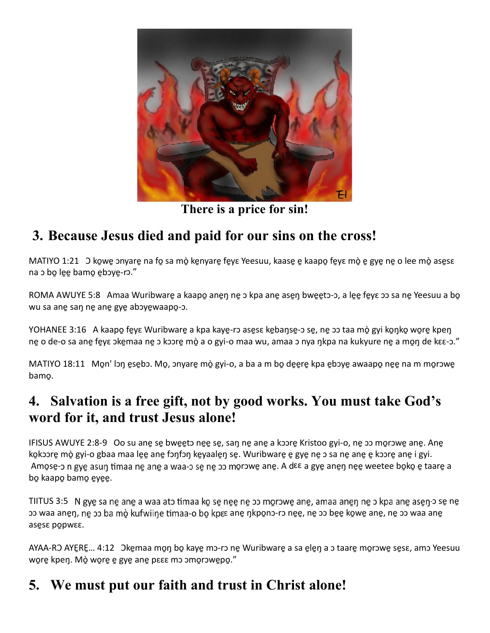

**There is a price for sin!**

# **3. Because Jesus died and paid for our sins on the cross!**

MATIYO 1:21 O kowe onyare na fo sa mò kenyare feye Yeesuu, kaase e kaapo feye mò e gye ne o lee mò asese na p bo lee bamo eboye-ro."

ROMA AWUYE 5:8 Amaa Wuribware a kaapo anen ne o kpa ane asen bweeto-o, a lee feye oo sa ne Yeesuu a bo wu sa ane san ne ane gye aboyewaapo-o.

YOHANEE 3:16 A kaapo fe̯yɛ Wuribware̯ a kpa kaye̯-rɔ ase̯sɛ ke̯baŋse̯-ɔ se̯, ne̯ ɔɔ taa mò̯ gyi ko̯ŋko̯ wo̯re̯ kpeŋ ne្ o de-o sa ane្ fe̯yɛ ɔke̯maa ne̯ ɔ kɔɔre̯ mò̯ a o gyi-o maa wu, amaa ɔ nya ŋkpa na kukyure ne̯ a mo̯ŋ de kɛɛ-ɔ."

MATIYO 18:11 Mon' lɔŋ esebɔ. Mo̯, ɔnyare̯ mò̯ gyi-o, a ba a m bo̯ deere̯ kpa ebɔye̯ awaapo̯ nee na m mo̯rɔwe bamo̱.

### **4. Salvation is a free gift, not by good works. You must take God's word for it, and trust Jesus alone!**

IFISUS AWUYE 2:8-9 Oo su ane្ se bweeto nee se, san ne ane a koore Kristoo gyi-o, ne oo morowe ane. Ane ko្bo mò gyi-o gbaa maa lee ane fɔŋfɔŋ ke̯yaale̯ŋ se̯. Wuribware̯ e̯ gye̯ ne̯ ɔ sa ne̯ ane̯ e kɔɔre̯ ane̯ i gyi. Amose-o n gye asun timaa ne ane a waa-o se ne oo morowe ane. A dɛɛ a gye̯ ane̯ŋ ne̯e weetee bo̯ko e taare a bo kaapo bamo eyee.

TIITUS 3:5 N gye sa ne ane a waa ato timaa ko se nee ne oo morowe ane, amaa anen ne o kpa ane asen-o se ne o waa ane̯ŋ, ne̯ o ba mo̯ kufwiiŋe timaa-o bo̯ kpɛɛ ane̯ ŋkpo̯no-ro ne̯e̯, ne̯ o be̯e̯ ko̯we̯ ane̯, ne̯ o waa ane̯ ases popwee.

AYAA-RO AYEૃRE… 4:12 Okemaa mon bo kaye mɔ-rɔ ne Wuribware a sa elen a ɔ taare mo̯rɔwe̯ se̯sɛ, amɔ Yeesuu wore kpeŋ. Mò wore e gye ane pese mo omorowepo."

# **5. We must put our faith and trust in Christ alone!**